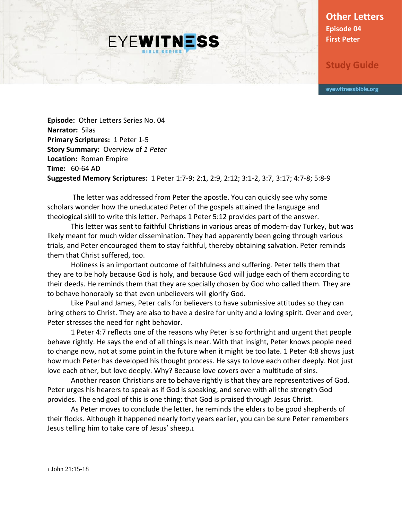**Other Letters Episode 04 First Peter**

**Study Guide**

eyewitnessbible.org

**Episode:** Other Letters Series No. 04 **Narrator:** Silas **Primary Scriptures:** 1 Peter 1-5 **Story Summary:** Overview of *1 Peter* **Location:** Roman Empire **Time:** 60-64 AD **Suggested Memory Scriptures:** 1 Peter 1:7-9; 2:1, 2:9, 2:12; 3:1-2, 3:7, 3:17; 4:7-8; 5:8-9

**EYEWITNESS** 

The letter was addressed from Peter the apostle. You can quickly see why some scholars wonder how the uneducated Peter of the gospels attained the language and theological skill to write this letter. Perhaps 1 Peter 5:12 provides part of the answer.

This letter was sent to faithful Christians in various areas of modern-day Turkey, but was likely meant for much wider dissemination. They had apparently been going through various trials, and Peter encouraged them to stay faithful, thereby obtaining salvation. Peter reminds them that Christ suffered, too.

Holiness is an important outcome of faithfulness and suffering. Peter tells them that they are to be holy because God is holy, and because God will judge each of them according to their deeds. He reminds them that they are specially chosen by God who called them. They are to behave honorably so that even unbelievers will glorify God.

Like Paul and James, Peter calls for believers to have submissive attitudes so they can bring others to Christ. They are also to have a desire for unity and a loving spirit. Over and over, Peter stresses the need for right behavior.

1 Peter 4:7 reflects one of the reasons why Peter is so forthright and urgent that people behave rightly. He says the end of all things is near. With that insight, Peter knows people need to change now, not at some point in the future when it might be too late. 1 Peter 4:8 shows just how much Peter has developed his thought process. He says to love each other deeply. Not just love each other, but love deeply. Why? Because love covers over a multitude of sins.

Another reason Christians are to behave rightly is that they are representatives of God. Peter urges his hearers to speak as if God is speaking, and serve with all the strength God provides. The end goal of this is one thing: that God is praised through Jesus Christ.

As Peter moves to conclude the letter, he reminds the elders to be good shepherds of their flocks. Although it happened nearly forty years earlier, you can be sure Peter remembers Jesus telling him to take care of Jesus' sheep.<sup>1</sup>